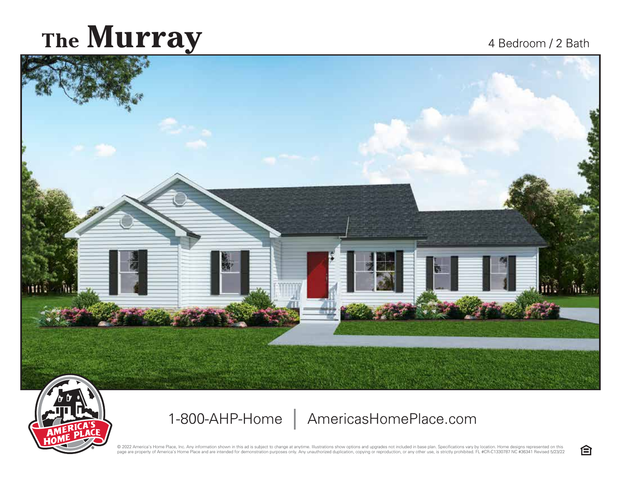## The Murray 4 Bedroom / 2 Bath



1-800-AHP-Home | AmericasHomePlace.com

@ 2022 America's Home Place, Inc. Any information shown in this ad is subject to change at anytime. Illustrations show options and upgrades not included in base plan. Specifications vary by location. Home designs represent page are property of America's Home Place and are intended for demonstration purposes only. Any unauthorized duplication, copying or reproduction, or any other use, is strictly prohibited. FL #CR-C1330787 NC #36341 Revised